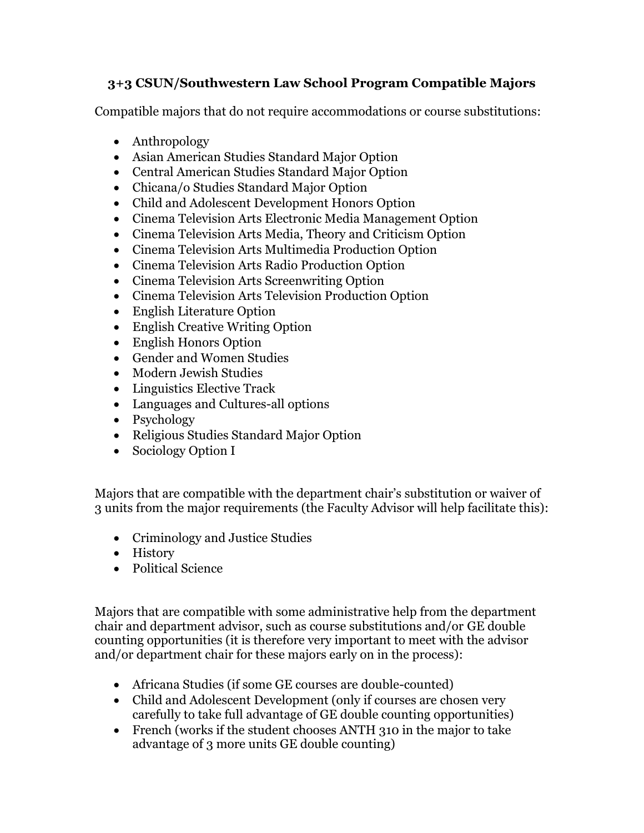## **3+3 CSUN/Southwestern Law School Program Compatible Majors**

Compatible majors that do not require accommodations or course substitutions:

- Anthropology
- Asian American Studies Standard Major Option
- Central American Studies Standard Major Option
- Chicana/o Studies Standard Major Option
- Child and Adolescent Development Honors Option
- Cinema Television Arts Electronic Media Management Option
- Cinema Television Arts Media, Theory and Criticism Option
- Cinema Television Arts Multimedia Production Option
- Cinema Television Arts Radio Production Option
- Cinema Television Arts Screenwriting Option
- Cinema Television Arts Television Production Option
- English Literature Option
- English Creative Writing Option
- English Honors Option
- Gender and Women Studies
- Modern Jewish Studies
- Linguistics Elective Track
- Languages and Cultures-all options
- Psychology
- Religious Studies Standard Major Option
- Sociology Option I

Majors that are compatible with the department chair's substitution or waiver of 3 units from the major requirements (the Faculty Advisor will help facilitate this):

- Criminology and Justice Studies
- History
- Political Science

Majors that are compatible with some administrative help from the department chair and department advisor, such as course substitutions and/or GE double counting opportunities (it is therefore very important to meet with the advisor and/or department chair for these majors early on in the process):

- Africana Studies (if some GE courses are double-counted)
- Child and Adolescent Development (only if courses are chosen very carefully to take full advantage of GE double counting opportunities)
- French (works if the student chooses ANTH 310 in the major to take advantage of 3 more units GE double counting)